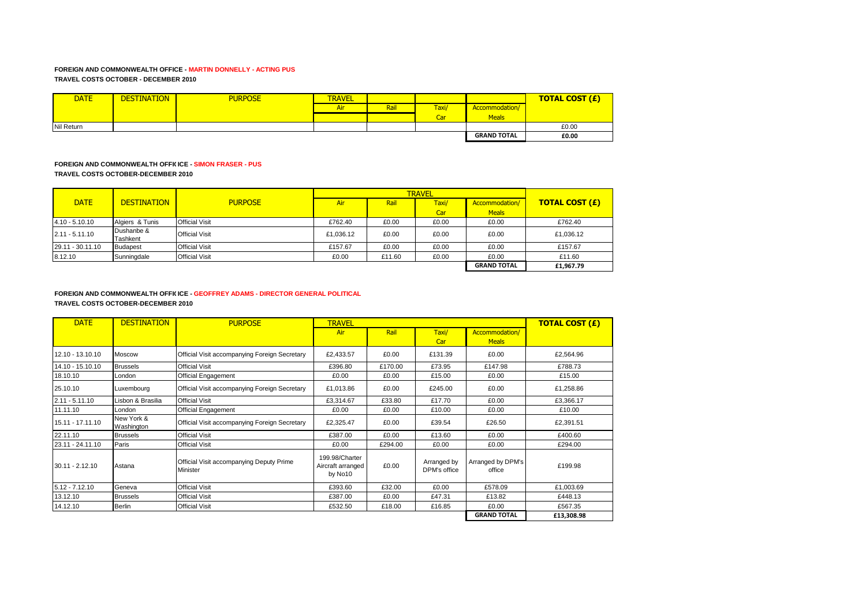# **FOREIGN AND COMMONWEALTH OFFICE - MARTIN DONNELLY - ACTING PUS TRAVEL COSTS OCTOBER - DECEMBER 2010**

| <b>DATE</b> | <b>DESTINATION</b> | <b>PURPOSE</b> | <b>TRAVEL</b> |      |       |                    | <b>TOTAL COST (£)</b> |
|-------------|--------------------|----------------|---------------|------|-------|--------------------|-----------------------|
|             |                    |                | Air           | Rail | Taxi/ | Accommodation/     |                       |
|             |                    |                |               |      | Car   | <b>Meals</b>       |                       |
| Nil Return  |                    |                |               |      |       |                    | £0.00                 |
|             |                    |                |               |      |       | <b>GRAND TOTAL</b> | £0.00                 |

# **FOREIGN AND COMMONWEALTH OFFICICE - SIMON FRASER - PUS TRAVEL COSTS OCTOBER-DECEMBER 2010**

|                  |                        |                       |           | <b>TRAVEL</b> |       |                    |                       |  |
|------------------|------------------------|-----------------------|-----------|---------------|-------|--------------------|-----------------------|--|
| <b>DATE</b>      | <b>DESTINATION</b>     | <b>PURPOSE</b>        | Air       | Rail          | Taxi/ | Accommodation/     | <b>TOTAL COST (£)</b> |  |
|                  |                        |                       |           |               | Car   | <b>Meals</b>       |                       |  |
| $4.10 - 5.10.10$ | Algiers & Tunis        | <b>Official Visit</b> | £762.40   | £0.00         | £0.00 | £0.00              | £762.40               |  |
| $2.11 - 5.11.10$ | Dushanbe &<br>Tashkent | <b>Official Visit</b> | £1.036.12 | £0.00         | £0.00 | £0.00              | £1,036.12             |  |
| 29.11 - 30.11.10 | <b>Budapest</b>        | <b>Official Visit</b> | £157.67   | £0.00         | £0.00 | £0.00              | £157.67               |  |
| 8.12.10          | Sunningdale            | <b>Official Visit</b> | £0.00     | £11.60        | £0.00 | £0.00              | £11.60                |  |
|                  |                        |                       |           |               |       | <b>GRAND TOTAL</b> | £1,967.79             |  |

#### **FOREIGN AND COMMONWEALTH OFFICICE - GEOFFREY ADAMS - DIRECTOR GENERAL POLITICAL TRAVEL COSTS OCTOBER-DECEMBER 2010**

| <b>DATE</b>       | <b>DESTINATION</b>       | <b>PURPOSE</b>                                       | <b>TRAVEL</b>                                  |         |                             |                                | <b>TOTAL COST (£)</b> |
|-------------------|--------------------------|------------------------------------------------------|------------------------------------------------|---------|-----------------------------|--------------------------------|-----------------------|
|                   |                          |                                                      | Air                                            | Rail    | Taxi/<br>Car                | Accommodation/<br><b>Meals</b> |                       |
| 12.10 - 13.10.10  | Moscow                   | Official Visit accompanying Foreign Secretary        | £2,433.57                                      | £0.00   | £131.39                     | £0.00                          | £2,564.96             |
| 14.10 - 15.10.10  | <b>Brussels</b>          | <b>Official Visit</b>                                | £396.80                                        | £170.00 | £73.95                      | £147.98                        | £788.73               |
| 18.10.10          | London                   | Official Engagement                                  | £0.00                                          | £0.00   | £15.00                      | £0.00                          | £15.00                |
| 25.10.10          | Luxembourg               | Official Visit accompanying Foreign Secretary        | £1,013.86                                      | £0.00   | £245.00                     | £0.00                          | £1,258.86             |
| $2.11 - 5.11.10$  | Lisbon & Brasilia        | <b>Official Visit</b>                                | £3,314.67                                      | £33.80  | £17.70                      | £0.00                          | £3,366.17             |
| 11.11.10          | London                   | <b>Official Engagement</b>                           | £0.00                                          | £0.00   | £10.00                      | £0.00                          | £10.00                |
| 15.11 - 17.11.10  | New York &<br>Washington | Official Visit accompanying Foreign Secretary        | £2,325.47                                      | £0.00   | £39.54                      | £26.50                         | £2,391.51             |
| 22.11.10          | <b>Brussels</b>          | <b>Official Visit</b>                                | £387.00                                        | £0.00   | £13.60                      | £0.00                          | £400.60               |
| 23.11 - 24.11.10  | Paris                    | <b>Official Visit</b>                                | £0.00                                          | £294.00 | £0.00                       | £0.00                          | £294.00               |
| $30.11 - 2.12.10$ | Astana                   | Official Visit accompanying Deputy Prime<br>Minister | 199.98/Charter<br>Aircraft arranged<br>by No10 | £0.00   | Arranged by<br>DPM's office | Arranged by DPM's<br>office    | £199.98               |
| $5.12 - 7.12.10$  | Geneva                   | <b>Official Visit</b>                                | £393.60                                        | £32.00  | £0.00                       | £578.09                        | £1,003.69             |
| 13.12.10          | <b>Brussels</b>          | <b>Official Visit</b>                                | £387.00                                        | £0.00   | £47.31                      | £13.82                         | £448.13               |
| 14.12.10          | <b>Berlin</b>            | <b>Official Visit</b>                                | £532.50                                        | £18.00  | £16.85                      | £0.00                          | £567.35               |
|                   |                          |                                                      |                                                |         |                             | <b>GRAND TOTAL</b>             | £13,308.98            |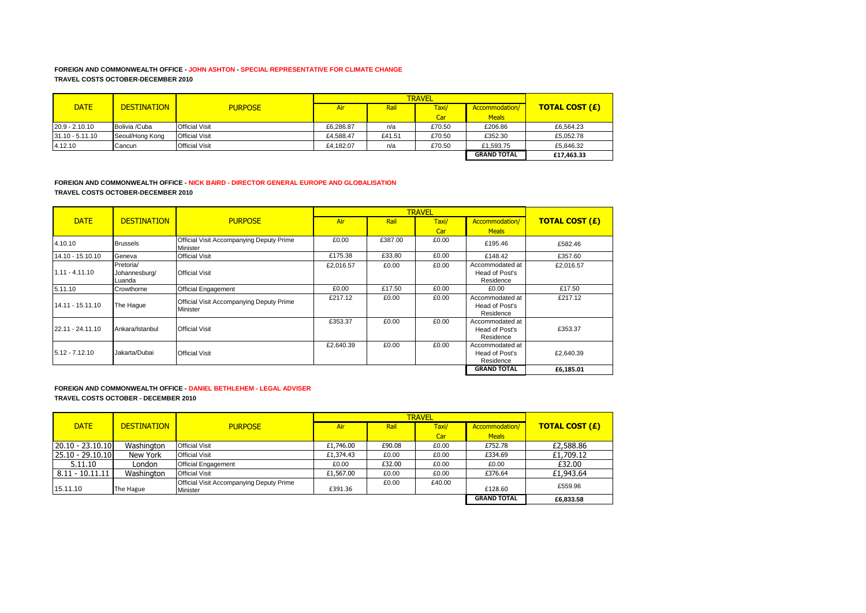# **FOREIGN AND COMMONWEALTH OFFICE - JOHN ASHTON - SPECIAL REPRESENTATIVE FOR CLIMATE CHANGE TRAVEL COSTS OCTOBER-DECEMBER 2010**

| <b>DATE</b>       | <b>DESTINATION</b> | <b>PURPOSE</b>        | Air       | Rail   | Taxi/  | Accommodation/     | <b>TOTAL COST (£)</b> |
|-------------------|--------------------|-----------------------|-----------|--------|--------|--------------------|-----------------------|
|                   |                    |                       |           |        | Car    | <b>Meals</b>       |                       |
| $20.9 - 2.10.10$  | Bolivia /Cuba      | <b>Official Visit</b> | £6.286.87 | n/a    | £70.50 | £206.86            | £6.564.23             |
| $31.10 - 5.11.10$ | Seoul/Hong Kong    | <b>Official Visit</b> | £4.588.47 | £41.51 | £70.50 | £352.30            | £5.052.78             |
| 4.12.10           | Cancun             | <b>Official Visit</b> | £4.182.07 | n/a    | £70.50 | £1.593.75          | £5,846.32             |
|                   |                    |                       |           |        |        | <b>GRAND TOTAL</b> | £17,463.33            |

#### **FOREIGN AND COMMONWEALTH OFFICE - NICK BAIRD - DIRECTOR GENERAL EUROPE AND GLOBALISATION TRAVEL COSTS OCTOBER-DECEMBER 2010**

|                  |                                      |                                                      |           |         | <b>TRAVEL</b> |                                                |                       |
|------------------|--------------------------------------|------------------------------------------------------|-----------|---------|---------------|------------------------------------------------|-----------------------|
| <b>DATE</b>      | <b>DESTINATION</b>                   | <b>PURPOSE</b>                                       | Air       | Rail    | Taxi/         | Accommodation/                                 | <b>TOTAL COST (£)</b> |
|                  |                                      |                                                      |           |         | Car           | <b>Meals</b>                                   |                       |
| 4.10.10          | <b>Brussels</b>                      | Official Visit Accompanying Deputy Prime<br>Minister | £0.00     | £387.00 | £0.00         | £195.46                                        | £582.46               |
| 14.10 - 15.10.10 | Geneva                               | <b>Official Visit</b>                                | £175.38   | £33.80  | £0.00         | £148.42                                        | £357.60               |
| $1.11 - 4.11.10$ | Pretoria/<br>Johannesburg/<br>Luanda | <b>Official Visit</b>                                | £2,016.57 | £0.00   | £0.00         | Accommodated at<br>Head of Post's<br>Residence | £2.016.57             |
| 5.11.10          | Crowthorne                           | <b>Official Engagement</b>                           | £0.00     | £17.50  | £0.00         | £0.00                                          | £17.50                |
| 14.11 - 15.11.10 | The Haque                            | Official Visit Accompanying Deputy Prime<br>Minister | £217.12   | £0.00   | £0.00         | Accommodated at<br>Head of Post's<br>Residence | £217.12               |
| 22.11 - 24.11.10 | Ankara/Istanbul                      | <b>Official Visit</b>                                | £353.37   | £0.00   | £0.00         | Accommodated at<br>Head of Post's<br>Residence | £353.37               |
| $5.12 - 7.12.10$ | Jakarta/Dubai                        | <b>Official Visit</b>                                | £2,640.39 | £0.00   | £0.00         | Accommodated at<br>Head of Post's<br>Residence | £2.640.39             |
|                  |                                      |                                                      |           |         |               | <b>GRAND TOTAL</b>                             | £6,185.01             |

#### **FOREIGN AND COMMONWEALTH OFFICE - DANIEL BETHLEHEM - LEGAL ADVISER TRAVEL COSTS OCTOBER - DECEMBER 2010**

|                    |                    |                                                      |            | <b>TRAVEL</b> |        |                    |                       |  |
|--------------------|--------------------|------------------------------------------------------|------------|---------------|--------|--------------------|-----------------------|--|
| <b>DATE</b>        | <b>DESTINATION</b> | <b>PURPOSE</b>                                       | <b>Air</b> | Rail          | Taxi/  | Accommodation/     | <b>TOTAL COST (£)</b> |  |
|                    |                    |                                                      |            |               | Car    | <b>Meals</b>       |                       |  |
| $20.10 - 23.10.10$ | Washington         | <b>Official Visit</b>                                | £1,746.00  | £90.08        | £0.00  | £752.78            | £2,588.86             |  |
| 25.10 - 29.10.10   | New York           | <b>Official Visit</b>                                | £1,374.43  | £0.00         | £0.00  | £334.69            | £1,709.12             |  |
| 5.11.10            | London             | <b>Official Engagement</b>                           | £0.00      | £32.00        | £0.00  | £0.00              | £32.00                |  |
| $8.11 - 10.11.11$  | Washington         | <b>Official Visit</b>                                | £1,567.00  | £0.00         | £0.00  | £376.64            | £1,943.64             |  |
| 15.11.10           | The Hague          | Official Visit Accompanying Deputy Prime<br>Minister | £391.36    | £0.00         | £40.00 | £128.60            | £559.96               |  |
|                    |                    |                                                      |            |               |        | <b>GRAND TOTAL</b> | £6.833.58             |  |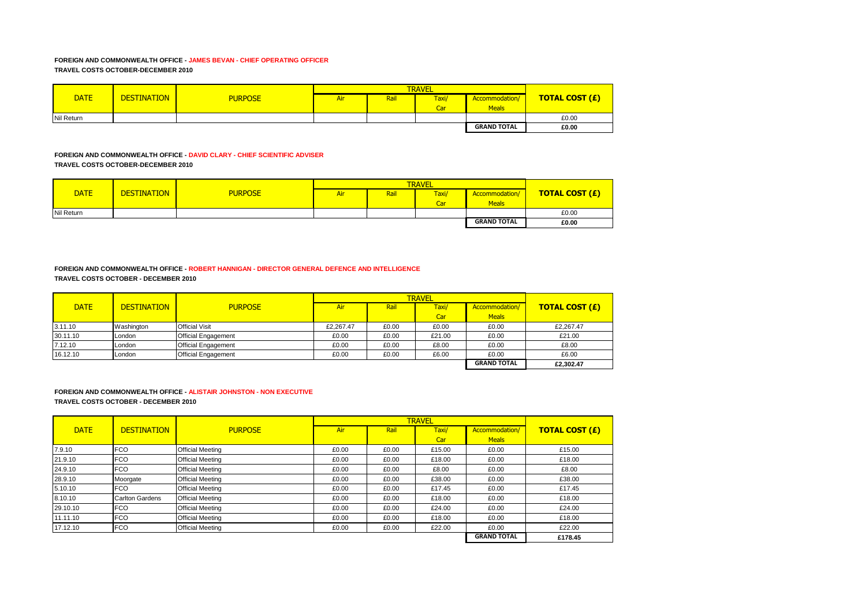# **FOREIGN AND COMMONWEALTH OFFICE - JAMES BEVAN - CHIEF OPERATING OFFICER TRAVEL COSTS OCTOBER-DECEMBER 2010**

| <b>DATE</b> | <b>DESTINATION</b> | <b>PURPOSE</b> | Air | Rail | Taxi/ | Accommodation/     | <b>TOTAL COST (£)</b> |
|-------------|--------------------|----------------|-----|------|-------|--------------------|-----------------------|
|             |                    |                |     |      | Car   | Meals              |                       |
| Nil Return  |                    |                |     |      |       |                    | £0.00                 |
|             |                    |                |     |      |       | <b>GRAND TOTAL</b> | £0.00                 |

# **FOREIGN AND COMMONWEALTH OFFICE - DAVID CLARY - CHIEF SCIENTIFIC ADVISER TRAVEL COSTS OCTOBER-DECEMBER 2010**

| <b>DATE</b> | <b>DESTINATION</b> | <b>PURPOSE</b> | Air | Rail | Taxi/<br>Car | Accommodation/<br><b>Meals</b> | <b>TOTAL COST (£)</b> |
|-------------|--------------------|----------------|-----|------|--------------|--------------------------------|-----------------------|
| Nil Return  |                    |                |     |      |              |                                | £0.00                 |
|             |                    |                |     |      |              | <b>GRAND TOTAL</b>             | £0.00                 |

#### **FOREIGN AND COMMONWEALTH OFFICE - ROBERT HANNIGAN - DIRECTOR GENERAL DEFENCE AND INTELLIGENCE TRAVEL COSTS OCTOBER - DECEMBER 2010**

|             |                    |                            |           | <b>TRAVEL</b> |        |                    |                       |  |
|-------------|--------------------|----------------------------|-----------|---------------|--------|--------------------|-----------------------|--|
| <b>DATE</b> | <b>DESTINATION</b> | <b>PURPOSE</b>             | Air       | Rail          | Taxi/  | Accommodation/     | <b>TOTAL COST (£)</b> |  |
|             |                    |                            |           |               | Car    | <b>Meals</b>       |                       |  |
| 3.11.10     | Washington         | <b>Official Visit</b>      | £2.267.47 | £0.00         | £0.00  | £0.00              | £2,267.47             |  |
| 30.11.10    | London             | <b>Official Engagement</b> | £0.00     | £0.00         | £21.00 | £0.00              | £21.00                |  |
| 7.12.10     | London             | <b>Official Engagement</b> | £0.00     | £0.00         | £8.00  | £0.00              | £8.00                 |  |
| 16.12.10    | London             | <b>Official Engagement</b> | £0.00     | £0.00         | £6.00  | £0.00              | £6.00                 |  |
|             |                    |                            |           |               |        | <b>GRAND TOTAL</b> | £2,302.47             |  |

# **FOREIGN AND COMMONWEALTH OFFICE - ALISTAIR JOHNSTON - NON EXECUTIVE**

**TRAVEL COSTS OCTOBER - DECEMBER 2010**

|             |                        |                         |       |       | <b>TRAVEL</b> |                    |                       |
|-------------|------------------------|-------------------------|-------|-------|---------------|--------------------|-----------------------|
| <b>DATE</b> | <b>DESTINATION</b>     | <b>PURPOSE</b>          | Air   | Rail  | Taxi/         | Accommodation/     | <b>TOTAL COST (£)</b> |
|             |                        |                         |       |       | Car           | <b>Meals</b>       |                       |
| 7.9.10      | <b>FCO</b>             | <b>Official Meeting</b> | £0.00 | £0.00 | £15.00        | £0.00              | £15.00                |
| 21.9.10     | <b>FCO</b>             | <b>Official Meeting</b> | £0.00 | £0.00 | £18.00        | £0.00              | £18.00                |
| 24.9.10     | <b>FCO</b>             | <b>Official Meeting</b> | £0.00 | £0.00 | £8.00         | £0.00              | £8.00                 |
| 28.9.10     | Moorgate               | <b>Official Meeting</b> | £0.00 | £0.00 | £38.00        | £0.00              | £38.00                |
| 5.10.10     | <b>FCO</b>             | <b>Official Meeting</b> | £0.00 | £0.00 | £17.45        | £0.00              | £17.45                |
| 8.10.10     | <b>Carlton Gardens</b> | <b>Official Meeting</b> | £0.00 | £0.00 | £18.00        | £0.00              | £18.00                |
| 29.10.10    | <b>FCO</b>             | <b>Official Meeting</b> | £0.00 | £0.00 | £24.00        | £0.00              | £24.00                |
| 11.11.10    | <b>FCO</b>             | <b>Official Meeting</b> | £0.00 | £0.00 | £18.00        | £0.00              | £18.00                |
| 17.12.10    | <b>FCO</b>             | <b>Official Meeting</b> | £0.00 | £0.00 | £22.00        | £0.00              | £22.00                |
|             |                        |                         |       |       |               | <b>GRAND TOTAL</b> | £178.45               |